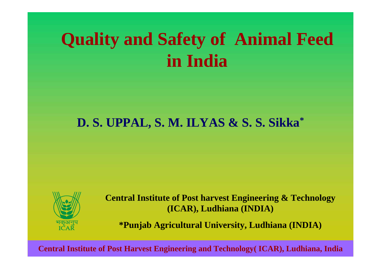# **Quality and Safety of Animal Feed in India**

# **D. S. UPPAL, S. M. ILYAS & S. S. Sikka \***



**Central Institute of Post harvest Engineering & Technology (ICAR), Ludhiana (INDIA)**

**\*Punjab Agricultural University, Ludhiana (INDIA)**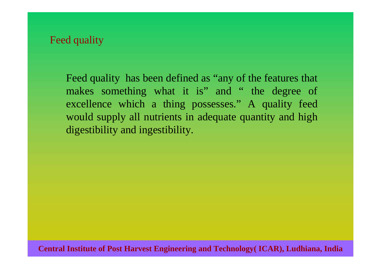### Feed quality

Feed quality has been defined as "any of the features that makes something what it is" and " the degree of excellence which a thing possesses." A quality feed would supply all nutrients in adequate quantity and high digestibility and ingestibility.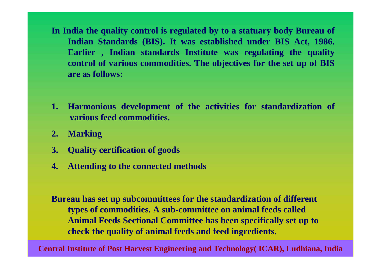- **In India the quality control is regulated by to a statuary body Bureau of Indian Standards (BIS). It was established under BIS A ct, 1986. Earlier , Indian standards Institute was regulating the quality control of various commodities. The objectives for the set up of BIS are as follows:**
- **1. Harmoniou s development of the activities for standardization of various feed commodities.**
- **2.Marking**
- **3. Quality certification of goods**
- **4.Attending to the connected methods**

**Bureau has set up subcommittees for the standardization of different types of commodities. A sub-committee on animal feeds called Animal Feeds Sectional Committee has been specifically set up to check the quality of animal feeds and feed ingredients.**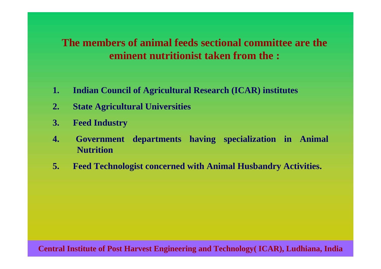# **The members of animal feeds sectional committee are the eminent nutritionist taken from the :**

- **1.Indian Council of Agricultu ral Research (ICAR) institutes**
- **2.State Agricultural Universities**
- **3. Feed Industry**
- **4. Government departments having specialization in Animal Nutriti on**
- **5.Feed Technologist concerned with Animal Husbandry Activities.**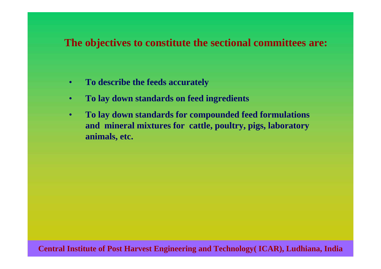### **The objectives to constitute the sectional committees are:**

- •**To describe the feeds accurately**
- •**To lay down standards on feed ingredients**
- • **To lay down standards for compounded feed formulations and mineral mixtures for cattle, poultry, pigs, laboratory animals, etc.**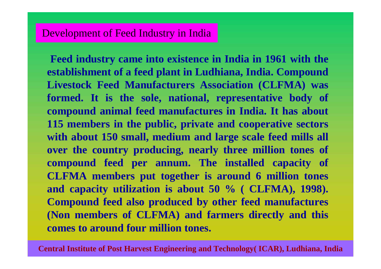**Feed industry came into existence in India in 1961 with the establishment of a feed plant in Ludhiana, India. Compound Livestock Feed Manufacturers Association (CLFMA) was formed. It is the sole, national, representative body of compound animal feed manufactures in India. It has about 115 members in the public, private and cooperative sectors with about 150 small, medium and large scale feed mills al l over the country producing, nearly three million tones of compound feed per annum. The installed capacity of CLFMA members put together is around 6 million tones and capacity utilization is about 50 % ( CLFMA), 1998). Compound feed also produced by other feed manufactures (Non members of CLFMA) and farmers directly and this comes to around four million tones.**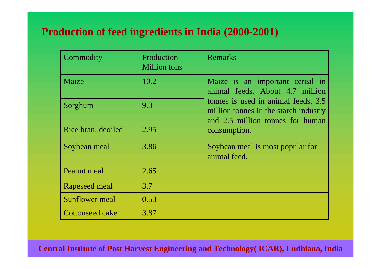# **Production of feed ingredients in India (2000-2001)**

| Commodity              | Production<br><b>Million</b> tons | <b>Remarks</b>                                                                                                   |
|------------------------|-----------------------------------|------------------------------------------------------------------------------------------------------------------|
| Maize                  | 10.2                              | Maize is an important cereal in<br>animal feeds. About 4.7 million                                               |
| Sorghum                | 9.3                               | tonnes is used in animal feeds, 3.5<br>million tonnes in the starch industry<br>and 2.5 million tonnes for human |
| Rice bran, deoiled     | 2.95                              | consumption.                                                                                                     |
| Soybean meal           | 3.86                              | Soybean meal is most popular for<br>animal feed.                                                                 |
| Peanut meal            | 2.65                              |                                                                                                                  |
| Rapeseed meal          | 3.7                               |                                                                                                                  |
| <b>Sunflower</b> meal  | 0.53                              |                                                                                                                  |
| <b>Cottonseed cake</b> | 3.87                              |                                                                                                                  |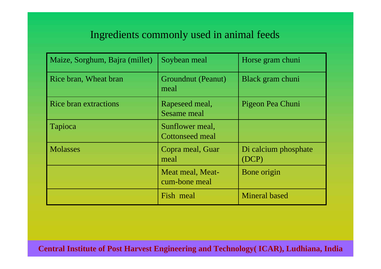# Ingredients commonly used in animal feeds

| Maize, Sorghum, Bajra (millet) | Soybean meal                              | Horse gram chuni              |
|--------------------------------|-------------------------------------------|-------------------------------|
| Rice bran, Wheat bran          | Groundnut (Peanut)<br>meal                | Black gram chuni              |
| <b>Rice bran extractions</b>   | Rapeseed meal,<br><b>Sesame meal</b>      | Pigeon Pea Chuni              |
| Tapioca                        | Sunflower meal,<br><b>Cottonseed meal</b> |                               |
| <b>Molasses</b>                | Copra meal, Guar<br>meal                  | Di calcium phosphate<br>(DCP) |
|                                | Meat meal, Meat-<br>cum-bone meal         | Bone origin                   |
|                                | Fish meal                                 | <b>Mineral based</b>          |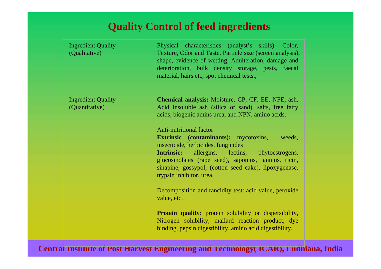# **Quality Control of feed ingredients**

| <b>Ingredient Quality</b><br>(Qualitative)  | Physical characteristics (analyst's skills): Color,<br>Texture, Odor and Taste, Particle size (screen analysis),<br>shape, evidence of wetting, Adulteration, damage and<br>deterioration, bulk density storage, pests, faecal<br>material, hairs etc, spot chemical tests.,                                                            |
|---------------------------------------------|-----------------------------------------------------------------------------------------------------------------------------------------------------------------------------------------------------------------------------------------------------------------------------------------------------------------------------------------|
| <b>Ingredient Quality</b><br>(Quantitative) | <b>Chemical analysis:</b> Moisture, CP, CF, EE, NFE, ash,<br>Acid insoluble ash (silica or sand), salts, free fatty<br>acids, biogenic amins urea, and NPN, amino acids.                                                                                                                                                                |
|                                             | <b>Anti-nutritional factor:</b><br><b>Extrinsic</b> (contaminants): mycotoxins,<br>weeds,<br>insecticide, herbicides, fungicides<br><b>Intrinsic:</b> allergins, lectins, phytoestrogens,<br>glucosinolates (rape seed), saponins, tannins, ricin,<br>sinapine, gossypol, (cotton seed cake), lipoxygenase,<br>trypsin inhibitor, urea. |
|                                             | Decomposition and rancidity test: acid value, peroxide<br>value, etc.                                                                                                                                                                                                                                                                   |
|                                             | <b>Protein quality:</b> protein solubility or dispersibility,<br>Nitrogen solubility, mailard reaction product, dye<br>binding, pepsin digestibility, amino acid digestibility.                                                                                                                                                         |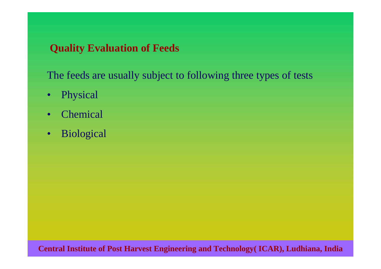# **Quality Evaluation of Feeds**

The feeds are usually subject to following three types of tests

- $\bullet$ Physical
- •**Chemical**
- $\bullet$ Biological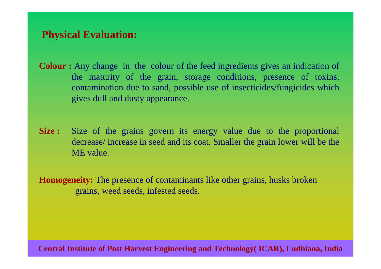# **Physical Evaluation:**

- **Colour :** Any change in the colour of the feed ingredients gives an indication of the maturity of the grain, storage conditions, presence of toxins, contamination due to sand, possible use of insecticides/fungicides which gives dull and dusty appearance.
- **Size :** Size of the grains govern its energy value due to the proportional decrease/ increase in seed and its coat. Smaller the grain lower will be the ME value.

**Homogeneity:** The presence of contaminants like other grains, husks broken grains, weed seeds, infested seeds.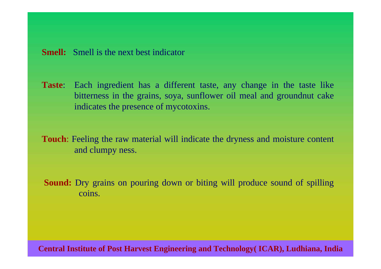**Taste**: Each ingredient has a different taste, any change in the taste like bitterness in the grains, soya, sunflower oil meal and groundnut cake indicat es the presence of mycotoxins.

**Touch**: Feeling the raw material will indicate the dryness and moisture content and clumpy ness.

**Sound:** Dry grains on pouring down or biting will produce sound of spilling coins.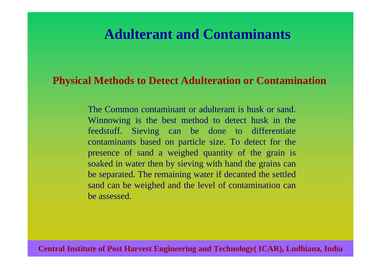# **Adulterant and Contaminants**

### **Physical Methods to Detect Adulteration or Contamination**

The Common contaminant or adulterant is husk or sand. Winnowing is the best method t o detect husk in the feedstuff. S ieving can be done to differentiate contaminants based on particle size. To detect for the presence of sand a weighed quantity of the grain is soaked in water then by sieving with hand the grains can be separated. The remaining water if decanted the settle d sand can be weighed and the level of contamination can be assessed.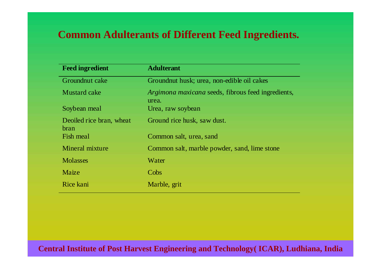# **Common Adulterants of Different Feed Ingredients.**

| <b>Feed ingredient</b>           | <b>Adulterant</b>                                           |
|----------------------------------|-------------------------------------------------------------|
| Groundnut cake                   | Groundnut husk; urea, non-edible oil cakes                  |
| <b>Mustard cake</b>              | Argimona maxicana seeds, fibrous feed ingredients,<br>urea. |
| Soybean meal                     | Urea, raw soybean                                           |
| Deoiled rice bran, wheat<br>bran | Ground rice husk, saw dust.                                 |
| Fish meal                        | Common salt, urea, sand                                     |
| Mineral mixture                  | Common salt, marble powder, sand, lime stone                |
| <b>Molasses</b>                  | Water                                                       |
| Maize                            | Cobs                                                        |
| Rice kani                        | Marble, grit                                                |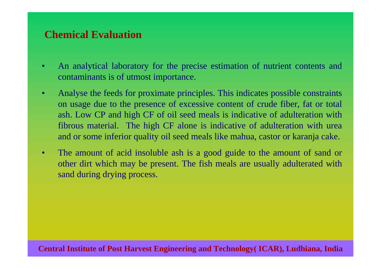# **Chemical Evaluation**

- •An analytical laboratory for the precise estimation of nutrient contents and contaminants is of utmost importance.
- •Analyse the feeds for proximate principles. This indicates possible constraints on usage due to the presence of excessive content of crude fiber, fat or total ash. Low CP and high CF of oil seed meals is indicative of adulteration with fibrous material. The high CF alone is i ndicative of adulteration with urea and or some inferior quality oil seed meals like mahua, castor or karanja cake.
- •The amount of acid insoluble ash is a good guide to the amount of sand or other dirt which may be present. The fish meals are usually adulterated with sand during drying process.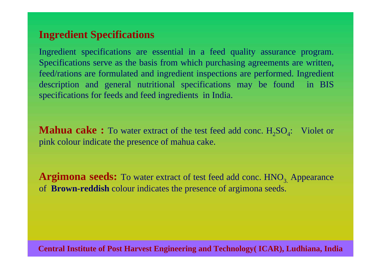# **Ingredient Specifications**

Ingredient specifications are essential in a feed quality assurance program. Specifications serve as the basis from which purchasing agreements are written, feed/rations are formulated and ingredient inspections are performed. Ingredien t description and general nutritional specifications may be found in BIS specifications for feeds and feed ingredients in India.

**Mahua cake :** To water extract of the test feed add conc.  $H_2SO_4$ : Violet or pink colour indicate the presence of mahua cake.

**Argimona seeds:** To water extract of test feed add conc. HNO<sub>3.</sub> Appearance of **Brown-reddish** colour indicates the presence of argimona seeds.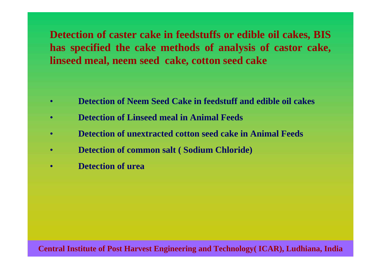**Detection of caster cake in feedstuffs or edible oil cakes, BIS has specified the cake methods of analysis of castor cake, linseed meal, neem seed cake, cotton seed cake**

- •**Detection of Neem Seed Cake in feedstuff and edible oil cakes**
- •**Detection of Linseed meal in Animal Feeds**
- •**Detection of unextracted cotton seed cake in Animal Feeds**
- •**Detection of common salt ( Sodium Chloride)**
- •**Detection of urea**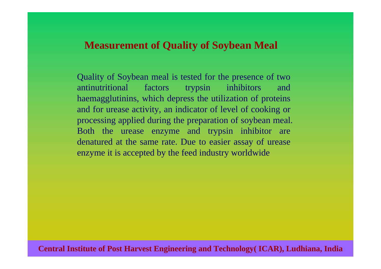### **Measurement of Quality of Soybean Meal**

Quality of Soybean meal is tested for the presence of two antinutritional factors trypsin inhibitors and haemagglutinins, which depress the utilization of proteins and for urease activity, an indicator of level of cooking or processing applied during the preparation of soybean meal. Both the urease enzyme and trypsin inhibitor are denatured at the same rate. Due to easier assay of urease enzyme it is accepted by the feed industry worldwide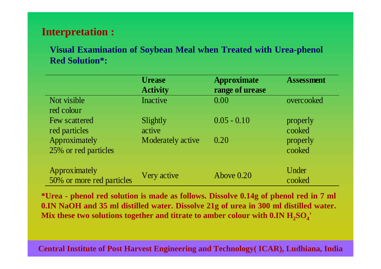# **Interpretation :**

**Visual Examination of Soybean Meal when Treated with Urea-phenol Red Solution\*:**

|                           | <b>Urease</b><br><b>Activity</b> | <b>Approximate</b><br>range of urease | <b>Assessment</b> |
|---------------------------|----------------------------------|---------------------------------------|-------------------|
| Not visible               | Inactive                         | 0.00                                  | overcooked        |
| red colour                |                                  |                                       |                   |
| Few scattered             | Slightly                         | $0.05 - 0.10$                         | properly          |
| red particles             | active                           |                                       | cooked            |
| Approximately             | Moderately active                | 0.20                                  | properly          |
| 25% or red particles      |                                  |                                       | cooked            |
|                           |                                  |                                       |                   |
| Approximately             |                                  |                                       | Under             |
| 50% or more red particles | Very active                      | Above 0.20                            | cooked            |

**\*Urea - phenol red solution is made as follows. Dissolve 0.14g of phenol red in 7 ml 0.IN NaOH and 35 ml distilled water. Dissolve 21g of urea in 300 ml distilled water.**  Mix these two solutions together and titrate to amber colour with  $0.\text{IN H}_2\text{SO}_4$ '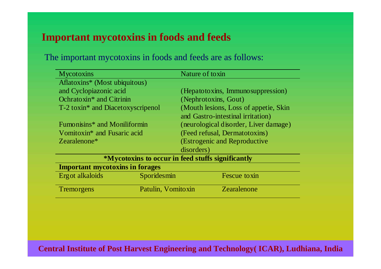# **Important mycotoxins in foods and feeds**

The important mycotoxins in foods and feeds are as follows:

| <b>Mycotoxins</b>                                 |                    | Nature of toxin                       |  |
|---------------------------------------------------|--------------------|---------------------------------------|--|
| Aflatoxins* (Most ubiquitous)                     |                    |                                       |  |
| and Cyclopiazonic acid                            |                    | (Hepatotoxins, Immunosuppression)     |  |
| Ochratoxin <sup>*</sup> and Citrinin              |                    | (Nephrotoxins, Gout)                  |  |
| T-2 toxin* and Diacetoxyscripenol                 |                    | (Mouth lesions, Loss of appetie, Skin |  |
|                                                   |                    | and Gastro-intestinal irritation)     |  |
| Fumonisins <sup>*</sup> and Moniliformin          |                    | (neurological disorder, Liver damage) |  |
| Vomitoxin <sup>*</sup> and Fusaric acid           |                    | (Feed refusal, Dermatotoxins)         |  |
| Zearalenone <sup>*</sup>                          |                    | (Estrogenic and Reproductive          |  |
|                                                   |                    | disorders)                            |  |
| *Mycotoxins to occur in feed stuffs significantly |                    |                                       |  |
| <b>Important mycotoxins in forages</b>            |                    |                                       |  |
| Ergot alkaloids                                   | Sporidesmin        | Fescue toxin                          |  |
| Tremorgens                                        | Patulin, Vomitoxin | Zearalenone                           |  |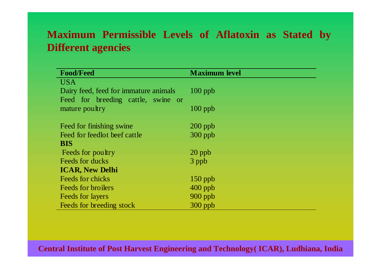# **Maximum Permissible Levels of Aflatoxin as Stated by Different agencies**

| <b>Food/Feed</b>                      | <b>Maximum level</b> |
|---------------------------------------|----------------------|
| <b>USA</b>                            |                      |
| Dairy feed, feed for immature animals | $100$ ppb            |
| Feed for breeding cattle, swine or    |                      |
| mature poultry                        | $100$ ppb            |
|                                       |                      |
| Feed for finishing swine              | $200$ ppb            |
| Feed for feedlot beef cattle          | $300$ ppb            |
| <b>BIS</b>                            |                      |
| Feeds for poultry                     | $20$ ppb             |
| Feeds for ducks                       | 3 ppb                |
| <b>ICAR, New Delhi</b>                |                      |
| Feeds for chicks                      | $150$ ppb            |
| Feeds for broilers                    | $400$ ppb            |
| <b>Feeds for layers</b>               | $900$ ppb            |
| Feeds for breeding stock              | $300$ ppb            |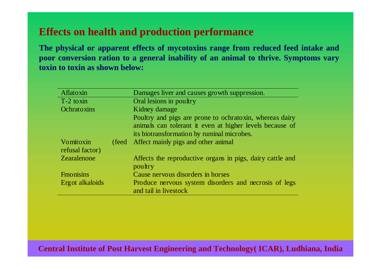# **Effects on health and production performance**

**The physical or apparent effects of mycotoxins range from reduced feed intake and poor conversion ration to a general inability of an animal to thrive. Symptoms vary toxin to toxin as shown below:**

| Aflatoxin                    |        | Damages liver and causes growth suppression.                                   |
|------------------------------|--------|--------------------------------------------------------------------------------|
| T-2 toxin                    |        | Oral lesions in poultry                                                        |
| Ochratoxins                  |        | Kidney damage                                                                  |
|                              |        | Poultry and pigs are prone to ochratoxin, whereas dairy                        |
|                              |        | animals can tolerant it even at higher levels because of                       |
|                              |        | its biotransformation by ruminal microbes.                                     |
| Vomitoxin<br>refusal factor) | (feed) | Affect mainly pigs and other animal                                            |
| Zearalenone                  |        | Affects the reproductive organs in pigs, dairy cattle and<br>poultry           |
| <b>Fmonisins</b>             |        | Cause nervous disorders in horses                                              |
| Erg ot alkaloids             |        | Produce nervous system disorders and necrosis of legs<br>and tail in livestock |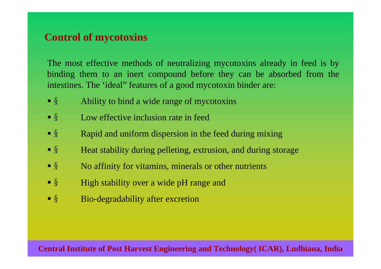# **Control of mycotoxins**

The most effective methods of neutralizing mycotoxins already in feed is by binding them to an inert compound before they can be absorbed from the intestines. The 'ideal" features of a good mycotoxin binder are:

- $\blacksquare$ § Ability to bind a wide range of mycotoxins
- $\blacksquare$ Low effective inclusion rate in feed
- $\blacksquare$ § Rapid and uniform dispersion in the feed during mixing
- $\blacksquare$ § Heat stability during pelleting, extrusion, and during storage
- $\blacksquare$ No affinity for vitamins, minerals or other nutrients
- $\blacksquare$ § High stability over a wide pH range and
- $\blacksquare$ § Bio-degradability after excretion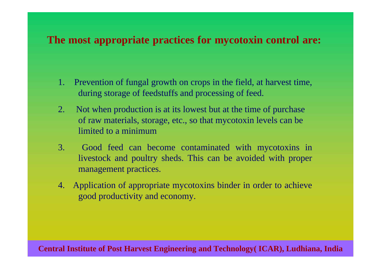## **The most appropriate practices for mycotoxin control are:**

- 1. Prevention of fungal growth on crops in the field, at harvest time, during storage of feedstuffs and processing of feed.
- 2. Not whe n production is at its lowest but at the time of purchase of raw materials, storage, etc., so that mycotoxin levels can be limited to a minimum
- 3. Good feed can become contaminated with mycotoxins in livestock and poultry sheds. This can be avoided with proper management practices.
- 4. Application of appropriate mycotoxins binder in order to achieve good productivity and economy.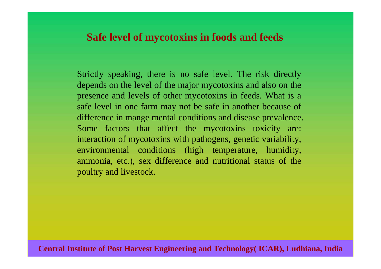### **Safe level of mycotoxins in foods and feeds**

Strictly speaking, there is no safe level. The risk directly depends on the level of the major mycotoxins and also on the presence and levels of other mycotoxins in feeds. What is a safe level in one farm may not be safe in another because of difference in mange mental conditions and disease prevalence. Some factors that affect the mycotoxins toxicity are: interaction of mycotoxins with pathogens, genetic variability, environmental conditions (high temperature, humidity, ammonia, etc.), sex difference and nutritional status of the poultry and livestock.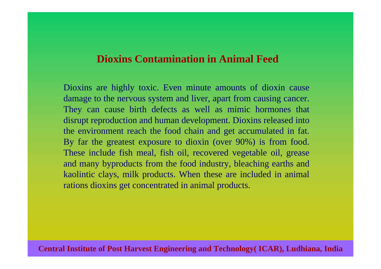### **Dioxins Contamination in Animal Feed**

Dioxins are highly toxic. Even minute amounts of dioxin cause damage to the nervous system and liver, apart from causing cancer. They can cause birth defects as well as mimic hormones tha t disrupt reproduction and human development. Dioxins released int o the environment reach the food chain and get accumulated in fat. By far the greatest exposure to dioxin (over 90%) is from food. These include fish meal, fish oil, recovered vegetable oil, grease and many byproducts from the food industry, bleaching earths and kaolintic clays, milk products. When these are included in anima l rations dioxins get concentrated in animal products.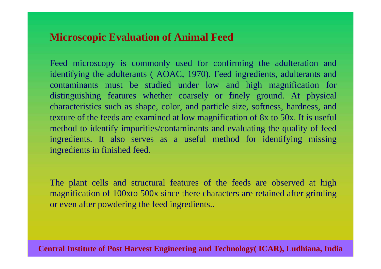# **Microscopic Evaluation of Animal Feed**

Feed microscopy i s commonly used for confirming the adulteration and identifying the adult erants ( AOAC, 1970). Feed ingredients, adulterants and contaminants must be studied under low and high magnification for distinguishing features whether coarsely or finely ground. At physical charact eristics such as shape, color, and particle size, softness, hardness, and texture of the feeds are examined at low magnification of 8x to 50x. It is useful method to identify impurities/contaminants and evaluating the quality of feed ingredients. It also serves as a useful method for identifying missin g ingredients in finished feed.

The plant cells and structural features of the feeds are observed at high magnification of 100xto 500x since there characters are retained after grinding or even after powdering the feed ingredients..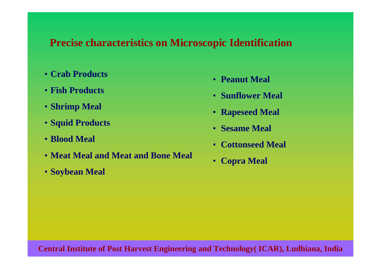# **Precise characteristics on Microscopic Identification**

- **Crab Products**
- **Fish Products**
- **Shrimp Meal**
- **Squid Products**
- **Blood Meal**
- **Meat Meal and Meat and Bone Meal**
- **Soybean Meal**
- **Peanut Meal**
- **Sunflower Meal**
- **Rapeseed Meal**
- **Sesame Meal**
- **Cottonseed Meal**
- •**Copra Meal**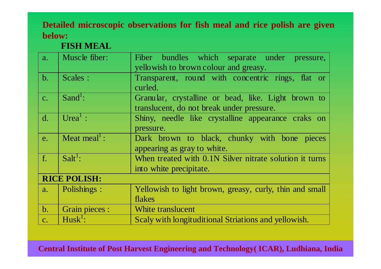### **Detailed microscopic observations for fish meal and rice polish are given below:**

### **FISH MEAL**

| a.             | Muscle fiber:            | Fiber bundles which separate under pressure,                 |  |  |  |
|----------------|--------------------------|--------------------------------------------------------------|--|--|--|
|                |                          | yellowish to brown colour and greasy.                        |  |  |  |
| b.             | Scales :                 | Transparent, round with concentric rings, flat or<br>curled. |  |  |  |
| $\mathcal{C}.$ | Sand <sup>1</sup> :      | Granular, crystalline or bead, like. Light brown to          |  |  |  |
|                |                          | translucent, do not break under pressure.                    |  |  |  |
| $\mathbf{d}$ . | Urea <sup>1</sup> :      | Shiny, needle like crystalline appearance craks on           |  |  |  |
|                |                          | pressure.                                                    |  |  |  |
| e.             | Meat meal <sup>1</sup> : | Dark brown to black, chunky with bone pieces                 |  |  |  |
|                |                          | appearing as gray to white.                                  |  |  |  |
| $f_{\cdot}$    | $Salt1$ :                | When treated with 0.1N Silver nitrate solution it turns      |  |  |  |
|                |                          | into white precipitate.                                      |  |  |  |
|                | <b>RICE POLISH:</b>      |                                                              |  |  |  |
| a.             | Polishings :             | Yellowish to light brown, greasy, curly, thin and small      |  |  |  |
|                |                          | flakes                                                       |  |  |  |
| $\mathbf{b}$ . | Grain pieces :           | White translucent                                            |  |  |  |
| $C_{\bullet}$  | $Husk^1$ :               | Scaly with longituditional Striations and yellowish.         |  |  |  |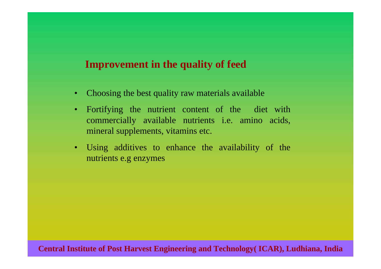## **Improvement in the quality of feed**

- Choosing the best quality raw materials available
- •Fortifying the nutrient content of the diet with commercially avail able nutrients i.e. amino acids, mineral supplements, vitamins etc.
- Using additives to enhance the availability of the nutrients e.g enzymes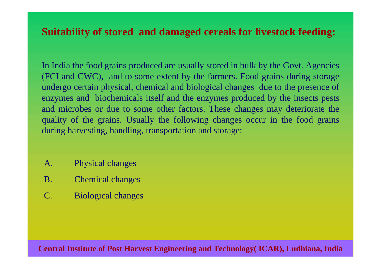# **Suitability of stored and damaged cereals for livestock feeding:**

In India the food grains produced are usually stored in bulk by the Govt. Agencies (FCI and CWC), and to some extent by the farmers. Food grains during storage undergo certain physical, chemical and biological changes due to the presence of enzymes and biochemicals itself and the enzymes produced by the insects pes ts and microbes or due to some other factors. These changes may deteriorate t he quality of the grains. Usually the following changes occur in the food grains during harvest ing, handling, transportation and storage:

- A.Physical changes
- B.Chemical changes
- C. Biological changes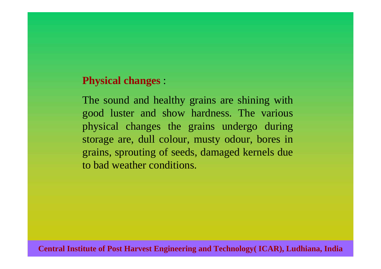### **Physical changes** :

The sound and healthy grains are shining with good luster and show hardness. The various physical changes the grains undergo during storage are, dull colour, musty odour, bores in grains, sprouting of seeds, damaged kernels due to bad weather conditions.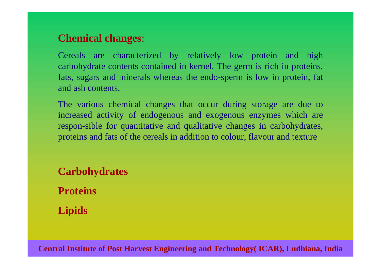# **C hemical changes**:

Cereals are characterized by relatively low protein and high carbohydrate content s contained in kernel. The germ is rich in proteins, fats, sugars and minerals whereas the endo-sperm is low in protein, fat and ash contents.

The various chemical changes that occur during storage are due to increased activity of endogenous and exogenous enzymes which ar e respon-sible for quantitative and qualitative changes in carbohydrates, proteins and fats of the cereals in addition to colour, flavour and texture

**Carbohydrates ProteinsLipids**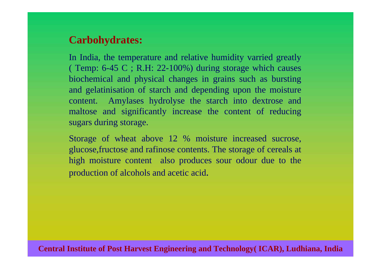# **Carbohydrates:**

In India, the temperature and relative humidity varried greatly ( Temp: 6-45 C ; R.H: 22-100%) during storage which causes biochemical and physical changes in grains such as bursting and gelatinisation of starch and depending upon the moisture content. Amylases hydrolyse the starch into dextrose and maltose and significantly increase the content of reducing sugars during storage.

Storage of wheat above 12 % moisture increased sucrose, glucose,fructose and rafinose contents. The storage of cereals at high moisture content also produces sour odour due to the production of alcohols and acetic acid.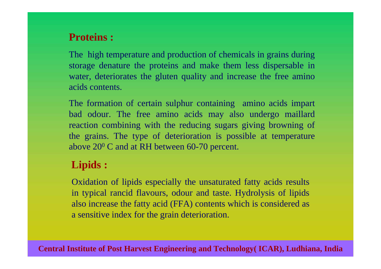# **Proteins :**

The high temperature and production of chemicals in grains during storage denature the proteins and make them less dispersable in water, deteriorates the gluten quality and increase the free amino acids contents.

The formation of certain sulphur containing amino acids impart bad odour. The free amino acids may also undergo mailla r d reaction combining with the reducing sugars giving browning of the grains. The type of deterioration is possible at temperature above  $20^{\rm o}$  C and at RH between 60-70 percent.

# **Lipids :**

Oxidation of lipids especially the unsaturated fatty acids results in typical rancid flavours, odour and taste. Hydrolysis of lipids also increase the fatty acid (FFA) contents which is consi dered as a sensitive index for the grain deterioration.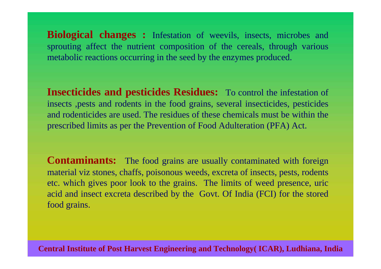**Biological changes :** Infestation of weevils, insects, microbes and sprouting affect the nutrient composition of the cereals, through various metabolic reactions occurring in the seed by the enzymes produced.

**Insecticides and pesticides Residues:** To control the infestation of insects ,pests and rodents in the food grains, several insecticides, pesticides and rodenticides are used. The residues of these chemicals must be within the prescri bed limits as per the Prevention of Food Adulteration (PFA) Act.

**Contaminants:** The food grains are usually contaminated with foreign material viz s tones, chaffs, poisonous weeds, excreta of insects, pests, rodents etc. which gives poor look to the grains. The limits of weed presence, uric acid and insect excreta described by the Govt. Of India (FCI) for the stored food grains.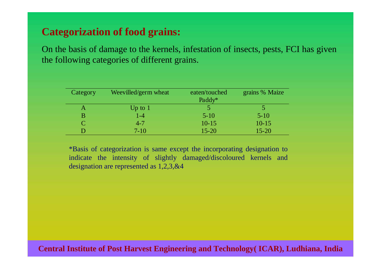# **Categorization of food grains:**

On the basis of damage to the kernels, infestation of insects, pests, FCI has given the following categories of different grains.

| Category | Weevilled/germ wheat | eaten/touched | grains % Maize |
|----------|----------------------|---------------|----------------|
|          |                      | Paddy*        |                |
|          | Up to $1$            |               |                |
| B        | $1 - 4$              | $5 - 10$      | $5 - 10$       |
|          | $4 - 7$              | $10-15$       | $10 - 15$      |
|          | $7-10$               | $15 - 20$     | $15 - 20$      |

\*Basis of categorization is same except the incorporating designation to indicate the intensity of slightly damaged/discoloured kernels and designation are represented as 1,2,3,&4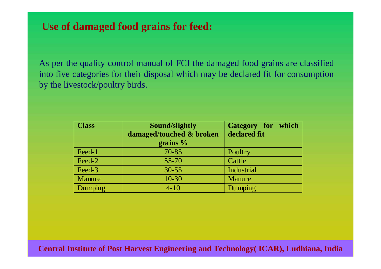# **Use of damaged food grains for feed:**

As per the quality control manual of FCI the damaged food grains are classified into five categories for their disposal which may be declared fit for consumption by the livestock/poultry birds.

| <b>Class</b> | Sound/slightly           | Category for which |
|--------------|--------------------------|--------------------|
|              | damaged/touched & broken | declared fit       |
|              | grains $\%$              |                    |
| Feed-1       | $70 - 85$                | Poultry            |
| Feed-2       | $55 - 70$                | Cattle             |
| Feed-3       | $30 - 55$                | Industrial         |
| Manure       | $10 - 30$                | <b>Manure</b>      |
| Dumping      | $4 - 10$                 | Dumping            |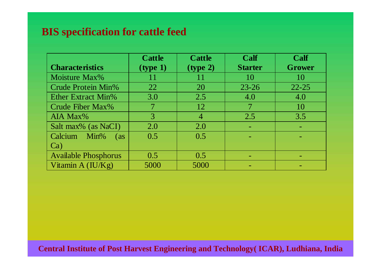# **BIS specification for cattle feed**

|                                         | <b>Cattle</b> | <b>Cattle</b>  | Calf           | Calf      |
|-----------------------------------------|---------------|----------------|----------------|-----------|
| <b>Characteristics</b>                  | (type 1)      | (type 2)       | <b>Starter</b> | Grower    |
| Moisture Max%                           | 11            | 11             | 10             | 10        |
| <b>Crude Protein Min%</b>               | 22            | 20             | $23 - 26$      | $22 - 25$ |
| <b>Ether Extract Min%</b>               | 3.0           | 2.5            | 4.0            | 4.0       |
| Crude Fiber Max%                        |               | 12             |                | 10        |
| AIA Max%                                | 3             | $\overline{4}$ | 2.5            | 3.5       |
| Salt max% (as NaCI)                     | 2.0           | 2.0            |                |           |
| <b>Calcium</b><br>Min%<br>$\frac{1}{2}$ | 0.5           | 0.5            |                |           |
| Ca)                                     |               |                |                |           |
| <b>Available Phosphorus</b>             | 0.5           | 0.5            |                |           |
| Vitamin $A (IU/Kg)$                     | 5000          | 5000           |                |           |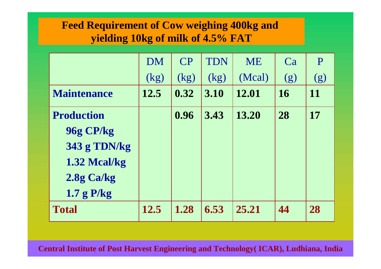# **Feed Requirement of Cow weighing 400kg and yielding 10kg of milk of 4.5% FAT**

|                     | <b>DM</b> | CP   | <b>TDN</b> | <b>ME</b> | Ca        | P   |
|---------------------|-----------|------|------------|-----------|-----------|-----|
|                     | (kg)      | (kg) | (kg)       | (Mcal)    | (g)       | (g) |
| <b>Maintenance</b>  | 12.5      | 0.32 | 3.10       | 12.01     | <b>16</b> | 11  |
| <b>Production</b>   |           | 0.96 | 3.43       | 13.20     | 28        | 17  |
| 96g CP/kg           |           |      |            |           |           |     |
| <b>343 g TDN/kg</b> |           |      |            |           |           |     |
| 1.32 Mcal/kg        |           |      |            |           |           |     |
| 2.8g Ca/kg          |           |      |            |           |           |     |
| 1.7 g P/kg          |           |      |            |           |           |     |
| <b>Total</b>        | 12.5      | 1.28 | 6.53       | 25.21     | 44        | 28  |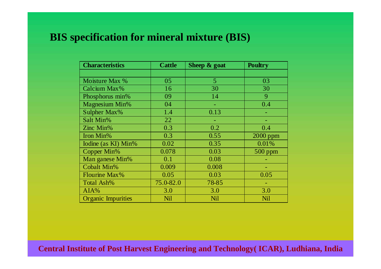# **BIS specification for mineral mixture (BIS)**

| <b>Characteristics</b>    | <b>Cattle</b> | Sheep & goat | <b>Poultry</b> |
|---------------------------|---------------|--------------|----------------|
|                           |               |              |                |
| Moisture Max %            | 05            | 5            | 03             |
| Calcium Max%              | 16            | 30           | 30             |
| Phosphorus min%           | 09            | 14           | 9              |
| <b>Magnesium Min%</b>     | 04            |              | 0.4            |
| Sulpher Max%              | 1.4           | 0.13         |                |
| Salt Min%                 | 22            |              |                |
| Zinc Min%                 | 0.3           | 0.2          | 0.4            |
| Iron Min%                 | 0.3           | 0.55         | 2000 ppm       |
| Iodine (as KI) Min%       | 0.02          | 0.35         | 0.01%          |
| Copper Min%               | 0.078         | 0.03         | $500$ ppm      |
| Man ganese Min%           | 0.1           | 0.08         |                |
| <b>Cobalt Min%</b>        | 0.009         | 0.008        | ۰              |
| <b>Flourine Max%</b>      | 0.05          | 0.03         | 0.05           |
| Total Ash%                | 75.0-82.0     | 78-85        |                |
| AIA%                      | 3.0           | 3.0          | 3.0            |
| <b>Organic Impurities</b> | Nil           | Nil          | Nil            |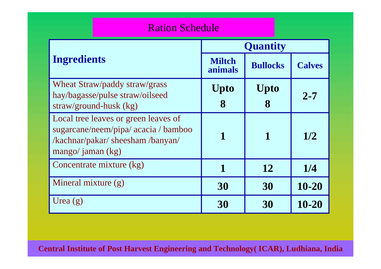### Ration Schedule

|                                                                                                                                          | <b>Quantity</b>          |                  |               |  |
|------------------------------------------------------------------------------------------------------------------------------------------|--------------------------|------------------|---------------|--|
| <b>Ingredients</b>                                                                                                                       | <b>Miltch</b><br>animals | <b>Bullocks</b>  | <b>Calves</b> |  |
| Wheat Straw/paddy straw/grass<br>hay/bagasse/pulse straw/oilseed<br>straw/ground-husk (kg)                                               | Upto<br>8                | <b>Upto</b><br>8 | $2 - 7$       |  |
| Local tree leaves or green leaves of<br>sugarcane/neem/pipa/ acacia / bamboo<br>/kachnar/pakar/ sheesham /banyan/<br>mango/ jaman $(kg)$ | 1                        | 1                | 1/2           |  |
| Concentrate mixture (kg)                                                                                                                 |                          | 12               | 1/4           |  |
| Mineral mixture (g)                                                                                                                      | 30                       | 30               | 10-20         |  |
| Urea $(g)$                                                                                                                               | 30                       | 30               | 10-20         |  |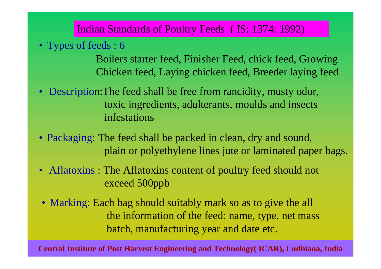Indian Standards of Poultry Feeds ( IS: 1374: 1992)

• Types of feeds : 6

Boilers starter feed, Finisher Feed, chick feed, Growing Chicken feed, Laying chicken feed, Breeder laying feed

- Description:The feed shall be free from rancidity, musty odor, toxic ingredients, adulterants, moulds and insects infestations
- Packaging: The feed shall be packed in clean, dry and sound, plain or polyethylene lines jute or laminated paper bags.
- Aflatoxins: The Aflatoxins content of poultry feed should not exceed 500ppb
- Marking: Each bag should suitably mark so as to give the all the information of the feed: name, type, net mass batch, manufacturing year and date etc.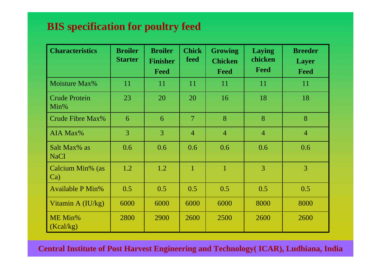# **BIS specification for poultry feed**

| <b>Characteristics</b>       | <b>Broiler</b><br><b>Starter</b> | <b>Broiler</b><br><b>Finisher</b><br>Feed | <b>Chick</b><br>feed | <b>Growing</b><br><b>Chicken</b><br>Feed | Laying<br>chicken<br>Feed | <b>Breeder</b><br><b>Layer</b><br>Feed |
|------------------------------|----------------------------------|-------------------------------------------|----------------------|------------------------------------------|---------------------------|----------------------------------------|
| Moisture Max%                | 11                               | 11                                        | 11                   | 11                                       | 11                        | 11                                     |
| <b>Crude Protein</b><br>Min% | 23                               | 20                                        | 20                   | 16                                       | 18                        | 18                                     |
| Crude Fibre Max%             | 6                                | 6                                         | $\overline{7}$       | 8                                        | 8                         | 8                                      |
| AIA Max%                     | 3                                | $\overline{3}$                            | $\overline{4}$       | $\overline{4}$                           | $\overline{4}$            | $\overline{4}$                         |
| Salt Max% as<br><b>NaCI</b>  | 0.6                              | 0.6                                       | 0.6                  | 0.6                                      | 0.6                       | 0.6                                    |
| Calcium Min% (as<br>Ca       | 1.2                              | 1.2                                       | $\mathbf{1}$         | $\mathbf{1}$                             | 3                         | $\overline{3}$                         |
| <b>Available P Min%</b>      | 0.5                              | 0.5                                       | 0.5                  | 0.5                                      | 0.5                       | 0.5                                    |
| Vitamin A $(IU/kg)$          | 6000                             | 6000                                      | 6000                 | 6000                                     | 8000                      | 8000                                   |
| ME Min%<br>(Kcal/kg)         | 2800                             | 2900                                      | 2600                 | 2500                                     | 2600                      | 2600                                   |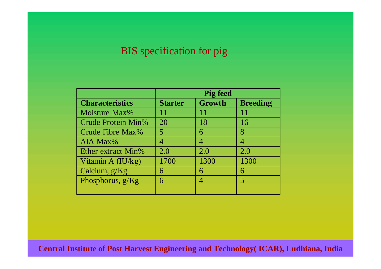# BIS specification for pig

|                           | <b>Pig feed</b> |        |                 |  |  |
|---------------------------|-----------------|--------|-----------------|--|--|
| <b>Characteristics</b>    | <b>Starter</b>  | Growth | <b>Breeding</b> |  |  |
| Moisture Max%             | 11              | 11     | 11              |  |  |
| <b>Crude Protein Min%</b> | 20              | 18     | 16              |  |  |
| Crude Fibre Max%          | 5               | 6      | 8               |  |  |
| AIA Max%                  | 4               | 4      | 4               |  |  |
| Ether extract Min%        | 2.0             | 2.0    | 2.0             |  |  |
| Vitamin A $(IU/kg)$       | 1700            | 1300   | 1300            |  |  |
| Calcium, $g/Kg$           | 6               | 6      | 6               |  |  |
| Phosphorus, $g/Kg$        | 6               | 4      | 5               |  |  |
|                           |                 |        |                 |  |  |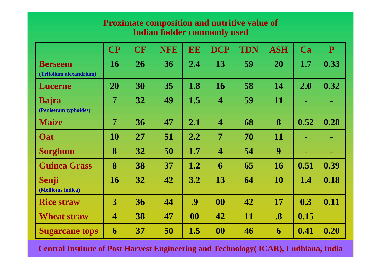### **Proximate composition and nutritive value of Indian fodder commonly used**

|                                           | $\overline{\mathbf{CP}}$ | <b>CF</b> | <b>NFE</b> | EE                | <b>DCP</b>              | <b>TDN</b> | <b>ASH</b>        | Ca   | $\mathbf{P}$   |
|-------------------------------------------|--------------------------|-----------|------------|-------------------|-------------------------|------------|-------------------|------|----------------|
| <b>Berseem</b><br>(Trifolium alexandrium) | <b>16</b>                | 26        | 36         | 2.4               | 13                      | 59         | 20                | 1.7  | 0.33           |
| <b>Lucerne</b>                            | 20                       | 30        | 35         | 1.8               | 16                      | 58         | 14                | 2.0  | 0.32           |
| <b>Bajra</b><br>(Penisetum typhoides)     | 7                        | 32        | 49         | 1.5               | $\overline{\mathbf{4}}$ | 59         | <b>11</b>         | m.   | m.             |
| <b>Maize</b>                              | $\overline{7}$           | 36        | 47         | 2.1               | $\overline{\mathbf{4}}$ | 68         | 8                 | 0.52 | 0.28           |
| <b>Oat</b>                                | 10                       | 27        | 51         | 2.2               | 7                       | 70         | 11                | m.   | $\blacksquare$ |
| <b>Sorghum</b>                            | 8                        | 32        | 50         | 1.7               | $\overline{\mathbf{4}}$ | 54         | 9                 | m.   | $\sim$         |
| <b>Guinea Grass</b>                       | 8                        | 38        | 37         | 1.2               | 6                       | 65         | <b>16</b>         | 0.51 | 0.39           |
| Senji<br>(Melilotus indica)               | <b>16</b>                | 32        | 42         | 3.2               | 13                      | 64         | <b>10</b>         | 1.4  | 0.18           |
| <b>Rice straw</b>                         | 3                        | 36        | 44         | $\boldsymbol{.9}$ | 00                      | 42         | 17                | 0.3  | 0.11           |
| <b>Wheat straw</b>                        | $\overline{\mathbf{4}}$  | 38        | 47         | 00                | 42                      | 11         | $\boldsymbol{.8}$ | 0.15 |                |
| <b>Sugarcane tops</b>                     | 6                        | 37        | 50         | 1.5               | 00                      | 46         | 6                 | 0.41 | 0.20           |